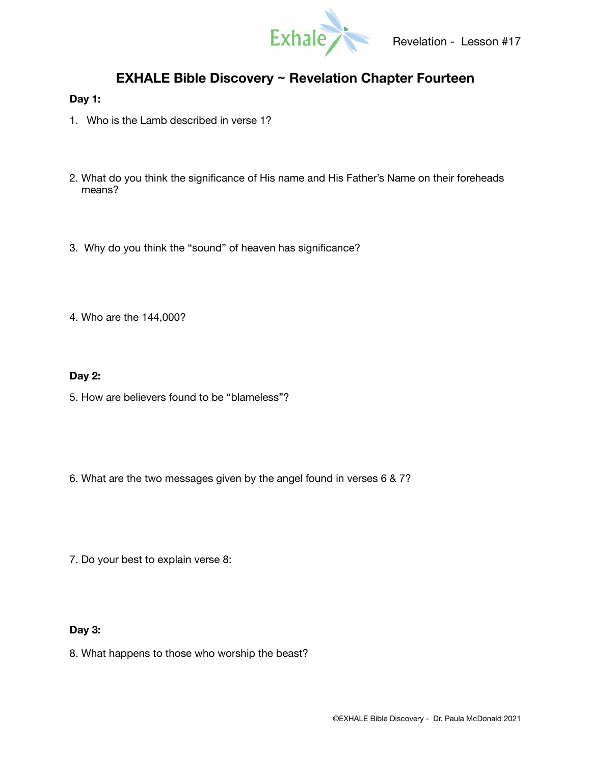

# **EXHALE Bible Discovery ~ Revelation Chapter Fourteen**

## **Day 1:**

- 1. Who is the Lamb described in verse 1?
- 2. What do you think the significance of His name and His Father's Name on their foreheads means?
- 3. Why do you think the "sound" of heaven has significance?
- 4. Who are the 144,000?

### **Day 2:**

- 5. How are believers found to be "blameless"?
- 6. What are the two messages given by the angel found in verses 6 & 7?
- 7. Do your best to explain verse 8:

#### **Day 3:**

8. What happens to those who worship the beast?